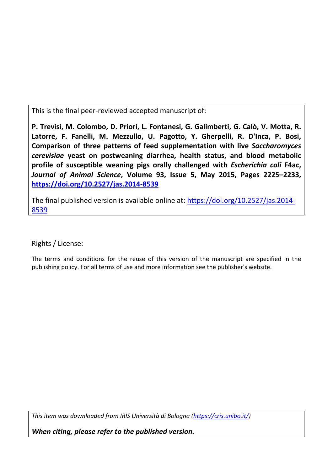This is the final peer-reviewed accepted manuscript of:

**P. Trevisi, M. Colombo, D. Priori, L. Fontanesi, G. Galimberti, G. Calò, V. Motta, R. Latorre, F. Fanelli, M. Mezzullo, U. Pagotto, Y. Gherpelli, R. D'Inca, P. Bosi, Comparison of three patterns of feed supplementation with live** *Saccharomyces cerevisiae* **yeast on postweaning diarrhea, health status, and blood metabolic profile of susceptible weaning pigs orally challenged with** *Escherichia coli* **F4ac,**  *Journal of Animal Science***, Volume 93, Issue 5, May 2015, Pages 2225–2233, <https://doi.org/10.2527/jas.2014-8539>**

The final published version is available online at: [https://doi.org/10.2527/jas.2014-](https://doi.org/10.2527/jas.2014-8539) [8539](https://doi.org/10.2527/jas.2014-8539)

Rights / License:

The terms and conditions for the reuse of this version of the manuscript are specified in the publishing policy. For all terms of use and more information see the publisher's website.

*This item was downloaded from IRIS Università di Bologna [\(https://cris.unibo.it/\)](https://cris.unibo.it/)*

*When citing, please refer to the published version.*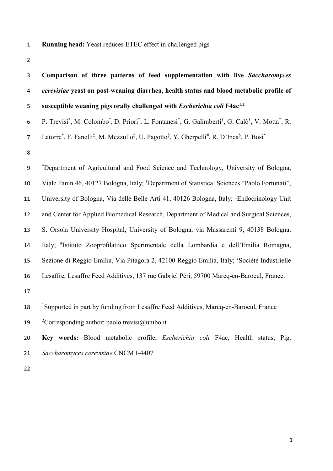- 1 Running head: Yeast reduces ETEC effect in challenged pigs
- 2

| 3                | Comparison of three patterns of feed supplementation with live Saccharomyces                                                                                       |
|------------------|--------------------------------------------------------------------------------------------------------------------------------------------------------------------|
| 4                | cerevisiae yeast on post-weaning diarrhea, health status and blood metabolic profile of                                                                            |
| 5                | susceptible weaning pigs orally challenged with <i>Escherichia coli</i> F4ac <sup>1,2</sup>                                                                        |
| 6                | P. Trevisi*, M. Colombo*, D. Priori*, L. Fontanesi*, G. Galimberti <sup>†</sup> , G. Calò <sup>†</sup> , V. Motta*, R.                                             |
| $\overline{7}$   | Latorre*, F. Fanelli <sup>‡</sup> , M. Mezzullo <sup>‡</sup> , U. Pagotto <sup>‡</sup> , Y. Gherpelli <sup>#</sup> , R. D'Inca <sup>§</sup> , P. Bosi <sup>*</sup> |
| 8                |                                                                                                                                                                    |
| $\boldsymbol{9}$ | *Department of Agricultural and Food Science and Technology, University of Bologna,                                                                                |
| 10               | Viale Fanin 46, 40127 Bologna, Italy; <sup>†</sup> Department of Statistical Sciences "Paolo Fortunati",                                                           |
| 11               | University of Bologna, Via delle Belle Arti 41, 40126 Bologna, Italy; <sup>‡</sup> Endocrinology Unit                                                              |
| 12               | and Center for Applied Biomedical Research, Department of Medical and Surgical Sciences,                                                                           |
| 13               | S. Orsola University Hospital, University of Bologna, via Massarenti 9, 40138 Bologna,                                                                             |
| 14               | Italy; "Istituto Zooprofilattico Sperimentale della Lombardia e dell'Emilia Romagna,                                                                               |
| 15               | Sezione di Reggio Emilia, Via Pitagora 2, 42100 Reggio Emilia, Italy; <sup>§</sup> Société Industrielle                                                            |
| 16               | Lesaffre, Lesaffre Feed Additives, 137 rue Gabriel Péri, 59700 Marcq-en-Baroeul, France.                                                                           |
| 17               |                                                                                                                                                                    |
| 18               | <sup>1</sup> Supported in part by funding from Lesaffre Feed Additives, Marcq-en-Baroeul, France                                                                   |
| 19               | <sup>2</sup> Corresponding author: paolo.trevisi@unibo.it                                                                                                          |
| 20               | Key words: Blood metabolic profile, <i>Escherichia coli</i> F4ac, Health status, Pig,                                                                              |
| 21               | Saccharomyces cerevisiae CNCM I-4407                                                                                                                               |
| 22               |                                                                                                                                                                    |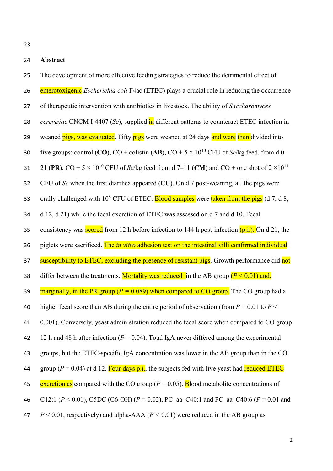### 24 Abstract

25 The development of more effective feeding strategies to reduce the detrimental effect of 26 enterotoxigenic *Escherichia coli* F4ac (ETEC) plays a crucial role in reducing the occurrence 27 of therapeutic intervention with antibiotics in livestock. The ability of Saccharomyces 28 *cerevisiae* CNCM I-4407 (Sc), supplied  $\frac{1}{2}$  different patterns to counteract ETEC infection in 29 weaned **pigs, was evaluated**. Fifty **pigs** were weaned at 24 days and were then divided into 30 five groups: control (CO), CO + colistin (AB), CO +  $5 \times 10^{10}$  CFU of Sc/kg feed, from d 0– 21 (PR), CO + 5  $\times$  10<sup>10</sup> CFU of Sc/kg feed from d 7–11 (CM) and CO + one shot of 2  $\times$ 10<sup>11</sup> 32 CFU of Sc when the first diarrhea appeared (CU). On d 7 post-weaning, all the pigs were 33 orally challenged with  $10^8$  CFU of ETEC. **Blood samples** were taken from the pigs (d 7, d 8, 34 d 12, d 21) while the fecal excretion of ETEC was assessed on d 7 and d 10. Fecal 35 consistency was **scored** from 12 h before infection to 144 h post-infection  $(p,i)$ . On d 21, the 36 piglets were sacrificed. The *in vitro* adhesion test on the intestinal villi confirmed individual 37 susceptibility to ETEC, excluding the presence of resistant pigs. Growth performance did not 38 differ between the treatments. Mortality was reduced in the AB group  $(P < 0.01)$  and, 39 marginally, in the PR group ( $P = 0.089$ ) when compared to CO group. The CO group had a 40 higher fecal score than AB during the entire period of observation (from  $P = 0.01$  to  $P <$ 41 0.001). Conversely, yeast administration reduced the fecal score when compared to CO group 42 12 h and 48 h after infection ( $P = 0.04$ ). Total IgA never differed among the experimental 43 groups, but the ETEC-specific IgA concentration was lower in the AB group than in the CO 44 group ( $P = 0.04$ ) at d 12. Four days p.i., the subjects fed with live yeast had reduced ETEC 45 excretion as compared with the CO group ( $P = 0.05$ ). Blood metabolite concentrations of 46 C12:1 ( $P < 0.01$ ), C5DC (C6-OH) ( $P = 0.02$ ), PC aa C40:1 and PC aa C40:6 ( $P = 0.01$  and 47  $P < 0.01$ , respectively) and alpha-AAA ( $P < 0.01$ ) were reduced in the AB group as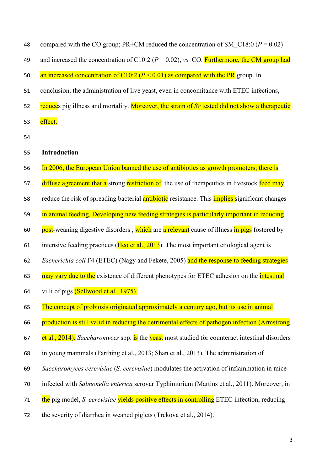| 48 | compared with the CO group; PR+CM reduced the concentration of SM C18:0 ( $P = 0.02$ )                |
|----|-------------------------------------------------------------------------------------------------------|
| 49 | and increased the concentration of C10:2 ( $P = 0.02$ ), vs. CO. Furthermore, the CM group had        |
| 50 | an increased concentration of C10:2 ( $P < 0.01$ ) as compared with the PR group. In                  |
| 51 | conclusion, the administration of live yeast, even in concomitance with ETEC infections,              |
| 52 | reduces pig illness and mortality. Moreover, the strain of Sc tested did not show a therapeutic       |
| 53 | effect.                                                                                               |
| 54 |                                                                                                       |
| 55 | Introduction                                                                                          |
| 56 | In 2006, the European Union banned the use of antibiotics as growth promoters; there is               |
| 57 | diffuse agreement that a strong restriction of the use of therapeutics in livestock feed may          |
| 58 | reduce the risk of spreading bacterial antibiotic resistance. This <i>implies</i> significant changes |
| 59 | in animal feeding. Developing new feeding strategies is particularly important in reducing            |
| 60 | post-weaning digestive disorders, which are a relevant cause of illness in pigs fostered by           |
| 61 | intensive feeding practices ( $Heo$ et al., 2013). The most important etiological agent is            |
| 62 | <i>Escherichia coli</i> F4 (ETEC) (Nagy and Fekete, 2005) and the response to feeding strategies      |
| 63 | may vary due to the existence of different phenotypes for ETEC adhesion on the <i>intestinal</i>      |
| 64 | villi of pigs (Sellwood et al., 1975).                                                                |
| 65 | The concept of probiosis originated approximately a century ago, but its use in animal                |
| 66 | production is still valid in reducing the detrimental effects of pathogen infection (Armstrong        |
| 67 | et al., 2014). Saccharomyces spp. is the yeast most studied for counteract intestinal disorders       |
| 68 | in young mammals (Farthing et al., 2013; Shan et al., 2013). The administration of                    |
| 69 | Saccharomyces cerevisiae (S. cerevisiae) modulates the activation of inflammation in mice             |
| 70 | infected with Salmonella enterica serovar Typhimurium (Martins et al., 2011). Moreover, in            |
| 71 | the pig model, S. cerevisiae vields positive effects in controlling ETEC infection, reducing          |
| 72 | the severity of diarrhea in weaned piglets (Trckova et al., 2014).                                    |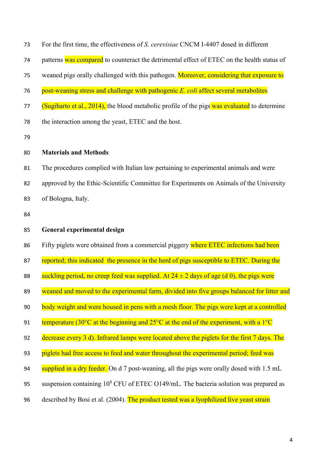| 73 | For the first time, the effectiveness of S. cerevisiae CNCM I-4407 dosed in different                                             |
|----|-----------------------------------------------------------------------------------------------------------------------------------|
| 74 | patterns was compared to counteract the detrimental effect of ETEC on the health status of                                        |
| 75 | weaned pigs orally challenged with this pathogen. Moreover, considering that exposure to                                          |
| 76 | post-weaning stress and challenge with pathogenic E. coli affect several metabolites                                              |
| 77 | (Sugiharto et al., 2014), the blood metabolic profile of the pigs was evaluated to determine                                      |
| 78 | the interaction among the yeast, ETEC and the host.                                                                               |
| 79 |                                                                                                                                   |
| 80 | <b>Materials and Methods</b>                                                                                                      |
| 81 | The procedures complied with Italian law pertaining to experimental animals and were                                              |
| 82 | approved by the Ethic-Scientific Committee for Experiments on Animals of the University                                           |
| 83 | of Bologna, Italy.                                                                                                                |
| 84 |                                                                                                                                   |
| 85 | General experimental design                                                                                                       |
| 86 | Fifty piglets were obtained from a commercial piggery where ETEC infections had been                                              |
| 87 | reported; this indicated the presence in the herd of pigs susceptible to ETEC. During the                                         |
| 88 | suckling period, no creep feed was supplied. At $24 \pm 2$ days of age (d 0), the pigs were                                       |
| 89 | weaned and moved to the experimental farm, divided into five groups balanced for litter and                                       |
| 90 | body weight and were housed in pens with a mesh floor. The pigs were kept at a controlled                                         |
| 91 | temperature (30 $\rm{^{\circ}C}$ at the beginning and 25 $\rm{^{\circ}C}$ at the end of the experiment, with a 1 $\rm{^{\circ}C}$ |
| 92 | decrease every 3 d). Infrared lamps were located above the piglets for the first 7 days. The                                      |
| 93 | piglets had free access to feed and water throughout the experimental period; feed was                                            |
| 94 | supplied in a dry feeder. On d 7 post-weaning, all the pigs were orally dosed with 1.5 mL                                         |
| 95 | suspension containing $10^8$ CFU of ETEC O149/mL. The bacteria solution was prepared as                                           |
| 96 | described by Bosi et al. (2004). The product tested was a lyophilized live yeast strain                                           |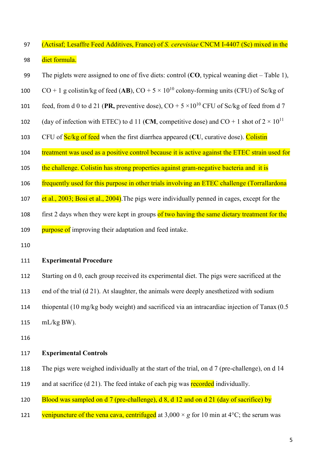- 97 (Actisaf; Lesaffre Feed Additives, France) of S. cerevisiae CNCM I-4407 (Sc) mixed in the 98 diet formula.
- 99 The piglets were assigned to one of five diets: control  $(CO, t)$  typical weaning diet Table 1),
- 100 CO + 1 g colistin/kg of feed (AB), CO + 5  $\times$  10<sup>10</sup> colony-forming units (CFU) of Sc/kg of
- 101 feed, from d 0 to d 21 (PR, preventive dose), CO +  $5 \times 10^{10}$  CFU of Sc/kg of feed from d 7
- 102 (day of infection with ETEC) to d 11 (CM, competitive dose) and CO + 1 shot of  $2 \times 10^{11}$
- 103 CFU of Sc/kg of feed when the first diarrhea appeared (CU, curative dose). Colistin
- 104 treatment was used as a positive control because it is active against the ETEC strain used for
- 105 the challenge. Colistin has strong properties against gram-negative bacteria and it is
- 106 frequently used for this purpose in other trials involving an ETEC challenge (Torrallardona
- 107 et al., 2003; Bosi et al., 2004). The pigs were individually penned in cages, except for the
- 108 first 2 days when they were kept in groups of two having the same dietary treatment for the
- 109 purpose of improving their adaptation and feed intake.
- 110

#### 111 Experimental Procedure

112 Starting on d 0, each group received its experimental diet. The pigs were sacrificed at the

113 end of the trial (d 21). At slaughter, the animals were deeply anesthetized with sodium

- 114 thiopental (10 mg/kg body weight) and sacrificed via an intracardiac injection of Tanax (0.5
- 115 mL/kg BW).
- 116

## 117 Experimental Controls

- 118 The pigs were weighed individually at the start of the trial, on d 7 (pre-challenge), on d 14
- 119 and at sacrifice (d 21). The feed intake of each pig was recorded individually.
- 120 Blood was sampled on d 7 (pre-challenge), d 8, d 12 and on d 21 (day of sacrifice) by
- 121 venipuncture of the vena cava, centrifuged at  $3,000 \times g$  for 10 min at 4 °C; the serum was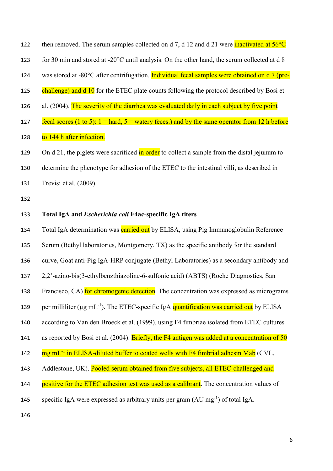- 122 then removed. The serum samples collected on d 7, d 12 and d 21 were inactivated at  $56^{\circ}$ C
- 123 for 30 min and stored at -20°C until analysis. On the other hand, the serum collected at d 8
- 124 was stored at -80°C after centrifugation. Individual fecal samples were obtained on d 7 (pre-
- 125 challenge) and d 10 for the ETEC plate counts following the protocol described by Bosi et
- 126 al. (2004). The severity of the diarrhea was evaluated daily in each subject by five point
- 127 fecal scores (1 to 5):  $1 =$  hard,  $5 =$  watery feces.) and by the same operator from 12 h before
- 128 to 144 h after infection.
- 129 On d 21, the piglets were sacrificed in order to collect a sample from the distal jejunum to
- 130 determine the phenotype for adhesion of the ETEC to the intestinal villi, as described in
- 131 Trevisi et al. (2009).
- 132

## 133 Total IgA and Escherichia coli F4ac-specific IgA titers

- 134 Total IgA determination was **carried out** by ELISA, using Pig Immunoglobulin Reference
- 135 Serum (Bethyl laboratories, Montgomery, TX) as the specific antibody for the standard
- 136 curve, Goat anti-Pig IgA-HRP conjugate (Bethyl Laboratories) as a secondary antibody and
- 137 2,2'-azino-bis(3-ethylbenzthiazoline-6-sulfonic acid) (ABTS) (Roche Diagnostics, San
- 138 Francisco, CA) for chromogenic detection. The concentration was expressed as micrograms
- 139 per milliliter ( $\mu$ g mL<sup>-1</sup>). The ETEC-specific IgA quantification was carried out by ELISA
- 140 according to Van den Broeck et al. (1999), using F4 fimbriae isolated from ETEC cultures
- 141 as reported by Bosi et al. (2004). Briefly, the F4 antigen was added at a concentration of 50
- 142  $\frac{m g m L^{-1}$  in ELISA-diluted buffer to coated wells with F4 fimbrial adhesin Mab (CVL,
- 143 Addlestone, UK). Pooled serum obtained from five subjects, all ETEC-challenged and
- 144 positive for the ETEC adhesion test was used as a calibrant. The concentration values of
- specific IgA were expressed as arbitrary units per gram  $(AU mg^{-1})$  of total IgA.
- 146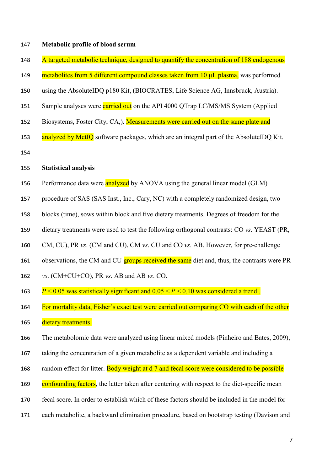| 147 | <b>Metabolic profile of blood serum</b> |
|-----|-----------------------------------------|
|-----|-----------------------------------------|

| 148 | A targeted metabolic technique, designed to quantify the concentration of 188 endogenous      |
|-----|-----------------------------------------------------------------------------------------------|
| 149 | metabolites from 5 different compound classes taken from 10 µL plasma, was performed          |
| 150 | using the AbsoluteIDQ p180 Kit, (BIOCRATES, Life Science AG, Innsbruck, Austria).             |
| 151 | Sample analyses were carried out on the API 4000 QTrap LC/MS/MS System (Applied               |
| 152 | Biosystems, Foster City, CA,). Measurements were carried out on the same plate and            |
| 153 | analyzed by MetIQ software packages, which are an integral part of the AbsoluteIDQ Kit.       |
| 154 |                                                                                               |
| 155 | <b>Statistical analysis</b>                                                                   |
| 156 | Performance data were analyzed by ANOVA using the general linear model (GLM)                  |
| 157 | procedure of SAS (SAS Inst., Inc., Cary, NC) with a completely randomized design, two         |
| 158 | blocks (time), sows within block and five dietary treatments. Degrees of freedom for the      |
| 159 | dietary treatments were used to test the following orthogonal contrasts: CO vs. YEAST (PR,    |
| 160 | CM, CU), PR vs. (CM and CU), CM vs. CU and CO vs. AB. However, for pre-challenge              |
| 161 | observations, the CM and CU groups received the same diet and, thus, the contrasts were PR    |
| 162 | $vs.$ (CM+CU+CO), PR $vs.$ AB and AB $vs.$ CO.                                                |
| 163 | $P < 0.05$ was statistically significant and $0.05 \le P \le 0.10$ was considered a trend.    |
| 164 | For mortality data, Fisher's exact test were carried out comparing CO with each of the other  |
| 165 | dietary treatments.                                                                           |
| 166 | The metabolomic data were analyzed using linear mixed models (Pinheiro and Bates, 2009),      |
| 167 | taking the concentration of a given metabolite as a dependent variable and including a        |
| 168 | random effect for litter. Body weight at d 7 and fecal score were considered to be possible   |
| 169 | confounding factors, the latter taken after centering with respect to the diet-specific mean  |
| 170 | fecal score. In order to establish which of these factors should be included in the model for |
| 171 | each metabolite, a backward elimination procedure, based on bootstrap testing (Davison and    |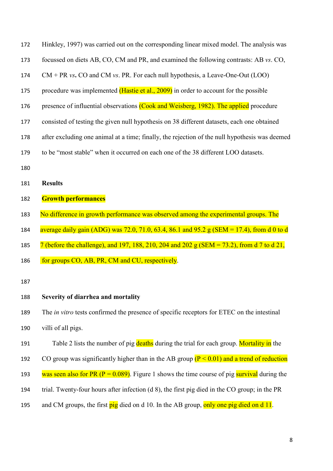| 172 | Hinkley, 1997) was carried out on the corresponding linear mixed model. The analysis was          |
|-----|---------------------------------------------------------------------------------------------------|
| 173 | focussed on diets AB, CO, CM and PR, and examined the following contrasts: AB vs. CO,             |
| 174 | $CM$ + PR <i>vs</i> . CO and CM <i>vs</i> . PR. For each null hypothesis, a Leave-One-Out (LOO)   |
| 175 | procedure was implemented (Hastie et al., 2009) in order to account for the possible              |
| 176 | presence of influential observations (Cook and Weisberg, 1982). The applied procedure             |
| 177 | consisted of testing the given null hypothesis on 38 different datasets, each one obtained        |
| 178 | after excluding one animal at a time; finally, the rejection of the null hypothesis was deemed    |
| 179 | to be "most stable" when it occurred on each one of the 38 different LOO datasets.                |
| 180 |                                                                                                   |
| 181 | <b>Results</b>                                                                                    |
| 182 | <b>Growth performances</b>                                                                        |
| 183 | No difference in growth performance was observed among the experimental groups. The               |
|     |                                                                                                   |
| 184 | average daily gain (ADG) was 72.0, 71.0, 63.4, 86.1 and 95.2 g (SEM = 17.4), from d 0 to d        |
| 185 | 7 (before the challenge), and 197, 188, 210, 204 and 202 g (SEM = 73.2), from d 7 to d 21,        |
| 186 | for groups CO, AB, PR, CM and CU, respectively.                                                   |
| 187 |                                                                                                   |
| 188 | Severity of diarrhea and mortality                                                                |
| 189 | The <i>in vitro</i> tests confirmed the presence of specific receptors for ETEC on the intestinal |
| 190 | villi of all pigs.                                                                                |
| 191 | Table 2 lists the number of pig deaths during the trial for each group. Mortality in the          |
| 192 | CO group was significantly higher than in the AB group $(P < 0.01)$ and a trend of reduction      |
| 193 | was seen also for PR ( $P = 0.089$ ). Figure 1 shows the time course of pig survival during the   |
| 194 | trial. Twenty-four hours after infection $(d 8)$ , the first pig died in the CO group; in the PR  |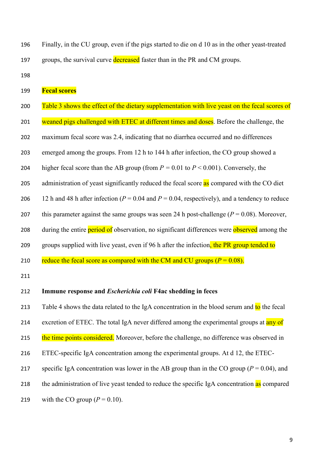- 196 Finally, in the CU group, even if the pigs started to die on d 10 as in the other yeast-treated 197 groups, the survival curve decreased faster than in the PR and CM groups.
- 198

199 Fecal scores

- 200 Table 3 shows the effect of the dietary supplementation with live yeast on the fecal scores of
- 201 weaned pigs challenged with ETEC at different times and doses. Before the challenge, the
- 202 maximum fecal score was 2.4, indicating that no diarrhea occurred and no differences
- 203 emerged among the groups. From 12 h to 144 h after infection, the CO group showed a
- 204 higher fecal score than the AB group (from  $P = 0.01$  to  $P \le 0.001$ ). Conversely, the
- 205 administration of yeast significantly reduced the fecal score as compared with the CO diet
- 206 12 h and 48 h after infection ( $P = 0.04$  and  $P = 0.04$ , respectively), and a tendency to reduce
- 207 this parameter against the same groups was seen 24 h post-challenge ( $P = 0.08$ ). Moreover,
- 208 during the entire **period of** observation, no significant differences were **observed** among the
- 209 groups supplied with live yeast, even if 96 h after the infection, the PR group tended to
- 210 reduce the fecal score as compared with the CM and CU groups ( $P = 0.08$ ).
- 211

### 212 Immune response and Escherichia coli F4ac shedding in feces

213 Table 4 shows the data related to the IgA concentration in the blood serum and  $\frac{1}{10}$  the fecal

214 excretion of ETEC. The total IgA never differed among the experimental groups at any of

- 215 the time points considered. Moreover, before the challenge, no difference was observed in
- 216 ETEC-specific IgA concentration among the experimental groups. At d 12, the ETEC-
- 217 specific IgA concentration was lower in the AB group than in the CO group ( $P = 0.04$ ), and
- 218 the administration of live yeast tended to reduce the specific IgA concentration as compared
- 219 with the CO group  $(P = 0.10)$ .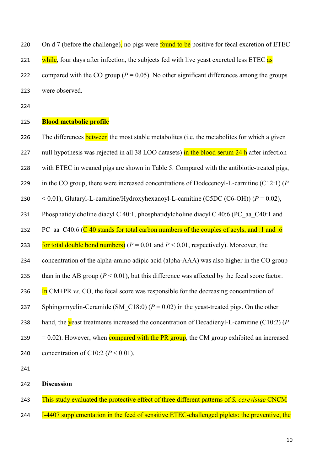220 On d 7 (before the challenge), no pigs were found to be positive for fecal excretion of ETEC

221 while, four days after infection, the subjects fed with live yeast excreted less ETEC as

222 compared with the CO group ( $P = 0.05$ ). No other significant differences among the groups

223 were observed.

224

# 225 Blood metabolic profile

226 The differences **between** the most stable metabolites (i.e. the metabolites for which a given 227 null hypothesis was rejected in all 38 LOO datasets) in the blood serum 24 h after infection 228 with ETEC in weaned pigs are shown in Table 5. Compared with the antibiotic-treated pigs, 229 in the CO group, there were increased concentrations of Dodecenoyl-L-carnitine (C12:1) ( $P$ 230  $\leq$  0.01), Glutaryl-L-carnitine/Hydroxyhexanoyl-L-carnitine (C5DC (C6-OH)) ( $P = 0.02$ ), 231 Phosphatidylcholine diacyl C 40:1, phosphatidylcholine diacyl C 40:6 (PC aa C40:1 and 232 PC aa C40:6 (C 40 stands for total carbon numbers of the couples of acyls, and :1 and :6 233 for total double bond numbers)  $(P = 0.01$  and  $P \le 0.01$ , respectively). Moreover, the 234 concentration of the alpha-amino adipic acid (alpha-AAA) was also higher in the CO group 235 than in the AB group ( $P < 0.01$ ), but this difference was affected by the fecal score factor. 236 In CM+PR *vs.* CO, the fecal score was responsible for the decreasing concentration of 237 Sphingomyelin-Ceramide (SM\_C18:0) ( $P = 0.02$ ) in the yeast-treated pigs. On the other 238 hand, the **y**east treatments increased the concentration of Decadienyl-L-carnitine (C10:2) ( $P$ 239  $= 0.02$ ). However, when compared with the PR group, the CM group exhibited an increased 240 concentration of C10:2  $(P < 0.01)$ . 241

## 242 Discussion

243 This study evaluated the protective effect of three different patterns of *S. cerevisiae* CNCM

244 I-4407 supplementation in the feed of sensitive ETEC-challenged piglets: the preventive, the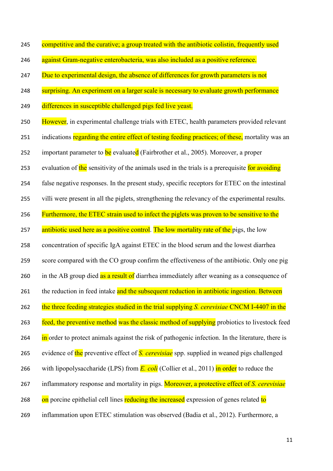245 competitive and the curative; a group treated with the antibiotic colistin, frequently used

246 against Gram-negative enterobacteria, was also included as a positive reference.

247 Due to experimental design, the absence of differences for growth parameters is not

- 248 surprising. An experiment on a larger scale is necessary to evaluate growth performance
- 249 differences in susceptible challenged pigs fed live yeast.

250 However, in experimental challenge trials with ETEC, health parameters provided relevant

- 251 indications regarding the entire effect of testing feeding practices; of these, mortality was an
- 252 important parameter to be evaluated (Fairbrother et al., 2005). Moreover, a proper
- 253 evaluation of the sensitivity of the animals used in the trials is a prerequisite for avoiding
- 254 false negative responses. In the present study, specific receptors for ETEC on the intestinal

255 villi were present in all the piglets, strengthening the relevancy of the experimental results.

256 Furthermore, the ETEC strain used to infect the piglets was proven to be sensitive to the

257 antibiotic used here as a positive control. The low mortality rate of the pigs, the low

- 258 concentration of specific IgA against ETEC in the blood serum and the lowest diarrhea
- 259 score compared with the CO group confirm the effectiveness of the antibiotic. Only one pig

260 in the AB group died as a result of diarrhea immediately after weaning as a consequence of

261 the reduction in feed intake and the subsequent reduction in antibiotic ingestion. Between

262 the three feeding strategies studied in the trial supplying *S. cerevisiae* CNCM I-4407 in the

263 feed, the preventive method was the classic method of supplying probiotics to livestock feed

264 in order to protect animals against the risk of pathogenic infection. In the literature, there is

265 evidence of the preventive effect of  $\overline{S}$ , cerevisiae spp. supplied in weaned pigs challenged

- 266 with lipopolysaccharide (LPS) from  $\vec{E}$ , coli (Collier et al., 2011) in order to reduce the
- 267 inflammatory response and mortality in pigs. Moreover, a protective effect of S. cerevisiae
- 268 on porcine epithelial cell lines reducing the increased expression of genes related to
- 269 inflammation upon ETEC stimulation was observed (Badia et al., 2012). Furthermore, a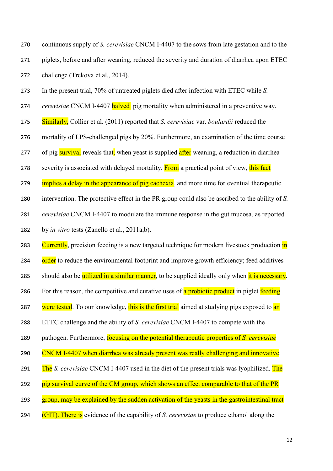270 continuous supply of S. cerevisiae CNCM I-4407 to the sows from late gestation and to the 271 piglets, before and after weaning, reduced the severity and duration of diarrhea upon ETEC 272 challenge (Trckova et al., 2014).

273 In the present trial, 70% of untreated piglets died after infection with ETEC while S.

274 cerevisiae CNCM I-4407 halved pig mortality when administered in a preventive way.

275 Similarly, Collier et al. (2011) reported that S. cerevisiae var. boulardii reduced the

276 mortality of LPS-challenged pigs by 20%. Furthermore, an examination of the time course

277 of pig survival reveals that, when yeast is supplied after weaning, a reduction in diarrhea

278 severity is associated with delayed mortality. From a practical point of view, this fact

279 implies a delay in the appearance of pig cachexia, and more time for eventual therapeutic

280 intervention. The protective effect in the PR group could also be ascribed to the ability of S.

281 cerevisiae CNCM I-4407 to modulate the immune response in the gut mucosa, as reported

282 by *in vitro* tests (Zanello et al., 2011a,b).

283 Currently, precision feeding is a new targeted technique for modern livestock production in 284 order to reduce the environmental footprint and improve growth efficiency; feed additives 285 should also be utilized in a similar manner, to be supplied ideally only when it is necessary. 286 For this reason, the competitive and curative uses of a probiotic product in piglet feeding 287 were tested. To our knowledge, this is the first trial aimed at studying pigs exposed to an 288 ETEC challenge and the ability of S. cerevisiae CNCM I-4407 to compete with the

289 pathogen. Furthermore, focusing on the potential therapeutic properties of S. cerevisiae

290 CNCM I-4407 when diarrhea was already present was really challenging and innovative.

291 The *S. cerevisiae* CNCM I-4407 used in the diet of the present trials was lyophilized. The

292 pig survival curve of the CM group, which shows an effect comparable to that of the PR

293 group, may be explained by the sudden activation of the yeasts in the gastrointestinal tract

294 (GIT). There is evidence of the capability of S, *cerevisiae* to produce ethanol along the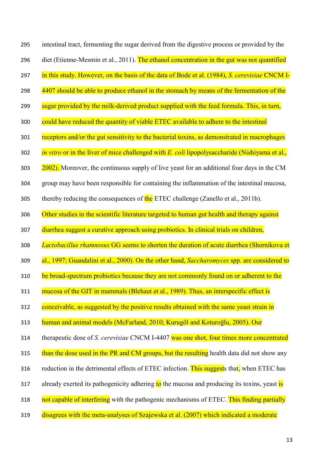295 intestinal tract, fermenting the sugar derived from the digestive process or provided by the 296 diet (Etienne-Mesmin et al., 2011). The ethanol concentration in the gut was not quantified 297 in this study. However, on the basis of the data of Bode et al. (1984), *S. cerevisiae* CNCM I-298 4407 should be able to produce ethanol in the stomach by means of the fermentation of the 299 sugar provided by the milk-derived product supplied with the feed formula. This, in turn, 300 could have reduced the quantity of viable ETEC available to adhere to the intestinal 301 receptors and/or the gut sensitivity to the bacterial toxins, as demonstrated in macrophages 302 *in vitro or in the liver of mice challenged with E. coli lipopolysaccharide (Nishiyama et al.,* 303 2002). Moreover, the continuous supply of live yeast for an additional four days in the CM 304 group may have been responsible for containing the inflammation of the intestinal mucosa, 305 thereby reducing the consequences of the ETEC challenge (Zanello et al., 2011b). 306 Other studies in the scientific literature targeted to human gut health and therapy against 307 diarrhea suggest a curative approach using probiotics. In clinical trials on children, 308 Lactobacillus rhamnosus GG seems to shorten the duration of acute diarrhea (Shornikova et 309 al., 1997; Guandalini et al., 2000). On the other hand, Saccharomyces spp. are considered to 310 be broad-spectrum probiotics because they are not commonly found on or adherent to the 311 mucosa of the GIT in mammals (Blehaut et al., 1989). Thus, an interspecific effect is 312 conceivable, as suggested by the positive results obtained with the same yeast strain in 313 human and animal models (McFarland, 2010; Kurugöl and Koturoğlu, 2005). Our 314 therapeutic dose of S. cerevisiae CNCM I-4407 was one shot, four times more concentrated 315 than the dose used in the PR and CM groups, but the resulting health data did not show any 316 reduction in the detrimental effects of ETEC infection. This suggests that, when ETEC has 317 already exerted its pathogenicity adhering to the mucosa and producing its toxins, yeast is 318 not capable of interfering with the pathogenic mechanisms of ETEC. This finding partially 319 disagrees with the meta-analyses of Szajewska et al. (2007) which indicated a moderate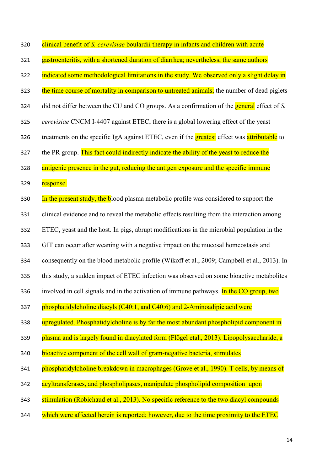| 320 | clinical benefit of S. cerevisiae boulardii therapy in infants and children with acute       |
|-----|----------------------------------------------------------------------------------------------|
| 321 | gastroenteritis, with a shortened duration of diarrhea; nevertheless, the same authors       |
| 322 | indicated some methodological limitations in the study. We observed only a slight delay in   |
| 323 | the time course of mortality in comparison to untreated animals; the number of dead piglets  |
| 324 | did not differ between the CU and CO groups. As a confirmation of the general effect of S.   |
| 325 | cerevisiae CNCM I-4407 against ETEC, there is a global lowering effect of the yeast          |
| 326 | treatments on the specific IgA against ETEC, even if the greatest effect was attributable to |
| 327 | the PR group. This fact could indirectly indicate the ability of the yeast to reduce the     |
| 328 | antigenic presence in the gut, reducing the antigen exposure and the specific immune         |
| 329 | response.                                                                                    |
| 330 | In the present study, the blood plasma metabolic profile was considered to support the       |
| 331 | clinical evidence and to reveal the metabolic effects resulting from the interaction among   |
| 332 | ETEC, yeast and the host. In pigs, abrupt modifications in the microbial population in the   |
| 333 | GIT can occur after weaning with a negative impact on the mucosal homeostasis and            |
| 334 | consequently on the blood metabolic profile (Wikoff et al., 2009; Campbell et al., 2013). In |
| 335 | this study, a sudden impact of ETEC infection was observed on some bioactive metabolites     |
| 336 | involved in cell signals and in the activation of immune pathways. In the CO group, two      |
| 337 | phosphatidylcholine diacyls (C40:1, and C40:6) and 2-Aminoadipic acid were                   |
| 338 | upregulated. Phosphatidylcholine is by far the most abundant phospholipid component in       |
| 339 | plasma and is largely found in diacylated form (Flögel etal., 2013). Lipopolysaccharide, a   |
| 340 | bioactive component of the cell wall of gram-negative bacteria, stimulates                   |
| 341 | phosphatidylcholine breakdown in macrophages (Grove et al., 1990). T cells, by means of      |
| 342 | acyltransferases, and phospholipases, manipulate phospholipid composition upon               |
| 343 | stimulation (Robichaud et al., 2013). No specific reference to the two diacyl compounds      |
| 344 | which were affected herein is reported; however, due to the time proximity to the ETEC       |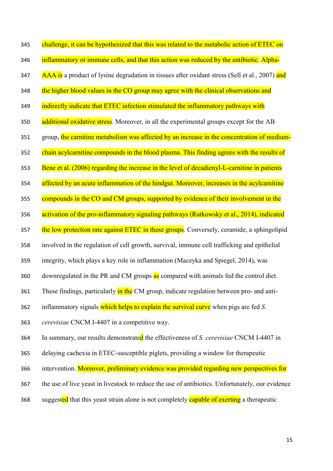| 345 | challenge, it can be hypothesized that this was related to the metabolic action of ETEC on       |
|-----|--------------------------------------------------------------------------------------------------|
| 346 | inflammatory or immune cells, and that this action was reduced by the antibiotic. Alpha-         |
| 347 | AAA is a product of lysine degradation in tissues after oxidant stress (Sell et al., 2007) and   |
| 348 | the higher blood values in the CO group may agree with the clinical observations and             |
| 349 | indirectly indicate that ETEC infection stimulated the inflammatory pathways with                |
| 350 | additional oxidative stress. Moreover, in all the experimental groups except for the AB          |
| 351 | group, the carnitine metabolism was affected by an increase in the concentration of medium-      |
| 352 | chain acylcarnitine compounds in the blood plasma. This finding agrees with the results of       |
| 353 | Bene et al. (2006) regarding the increase in the level of decadienyl-L-carnitine in patients     |
| 354 | affected by an acute inflammation of the hindgut. Moreover, increases in the acylcarnitine       |
| 355 | compounds in the CO and CM groups, supported by evidence of their involvement in the             |
| 356 | activation of the pro-inflammatory signaling pathways (Rutkowsky et al., 2014), indicated        |
|     |                                                                                                  |
| 357 | the low protection rate against ETEC in these groups. Conversely, ceramide, a sphingolipid       |
| 358 | involved in the regulation of cell growth, survival, immune cell trafficking and epithelial      |
| 359 | integrity, which plays a key role in inflammation (Maceyka and Spiegel, 2014), was               |
| 360 | downregulated in the PR and CM groups as compared with animals fed the control diet.             |
| 361 | These findings, particularly in the CM group, indicate regulation between pro- and anti-         |
| 362 | inflammatory signals which helps to explain the survival curve when pigs are fed S.              |
| 363 | cerevisiae CNCM I-4407 in a competitive way.                                                     |
| 364 | In summary, our results demonstrated the effectiveness of S. cerevisiae CNCM I-4407 in           |
| 365 | delaying cachexia in ETEC-susceptible piglets, providing a window for therapeutic                |
| 366 | intervention. Moreover, preliminary evidence was provided regarding new perspectives for         |
| 367 | the use of live yeast in livestock to reduce the use of antibiotics. Unfortunately, our evidence |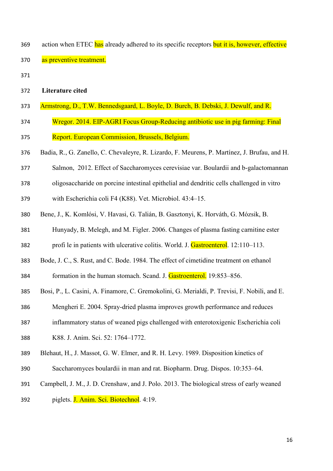- 369 action when ETEC has already adhered to its specific receptors but it is, however, effective 370 as preventive treatment.
- 
- Literature cited
- Armstrong, D., T.W. Bennedsgaard, L. Boyle, D. Burch, B. Debski, J. Dewulf, and R.
- Wregor. 2014. EIP-AGRI Focus Group-Reducing antibiotic use in pig farming: Final Report. European Commission, Brussels, Belgium.
- Badia, R., G. Zanello, C. Chevaleyre, R. Lizardo, F. Meurens, P. Martínez, J. Brufau, and H.
- Salmon, 2012. Effect of Saccharomyces cerevisiae var. Boulardii and b-galactomannan
- oligosaccharide on porcine intestinal epithelial and dendritic cells challenged in vitro
- with Escherichia coli F4 (K88). Vet. Microbiol. 43:4–15.
- Bene, J., K. Komlósi, V. Havasi, G. Talián, B. Gasztonyi, K. Horváth, G. Mózsik, B.
- Hunyady, B. Melegh, and M. Figler. 2006. Changes of plasma fasting carnitine ester
- 382 profi le in patients with ulcerative colitis. World. J. **Gastroenterol**. 12:110–113.
- Bode, J. C., S. Rust, and C. Bode. 1984. The effect of cimetidine treatment on ethanol
- 384 formation in the human stomach. Scand. J. Gastroenterol. 19:853–856.
- Bosi, P., L. Casini, A. Finamore, C. Gremokolini, G. Merialdi, P. Trevisi, F. Nobili, and E.
- Mengheri E. 2004. Spray-dried plasma improves growth performance and reduces
- inflammatory status of weaned pigs challenged with enterotoxigenic Escherichia coli K88. J. Anim. Sci. 52: 1764–1772.
- Blehaut, H., J. Massot, G. W. Elmer, and R. H. Levy. 1989. Disposition kinetics of
- Saccharomyces boulardii in man and rat. Biopharm. Drug. Dispos. 10:353–64.
- Campbell, J. M., J. D. Crenshaw, and J. Polo. 2013. The biological stress of early weaned
- 392 piglets. J. Anim. Sci. Biotechnol. 4:19.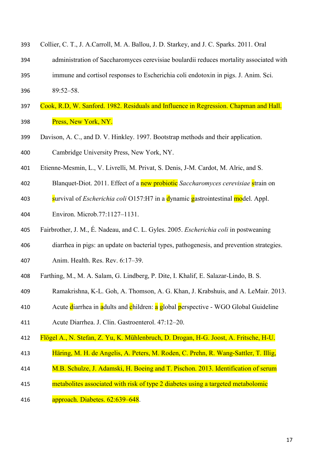- Collier, C. T., J. A.Carroll, M. A. Ballou, J. D. Starkey, and J. C. Sparks. 2011. Oral
- administration of Saccharomyces cerevisiae boulardii reduces mortality associated with
- immune and cortisol responses to Escherichia coli endotoxin in pigs. J. Anim. Sci.
- 89:52–58.
- Cook, R.D, W. Sanford. 1982. Residuals and Influence in Regression. Chapman and Hall. Press, New York, NY.
- Davison, A. C., and D. V. Hinkley. 1997. Bootstrap methods and their application. Cambridge University Press, New York, NY.
- Etienne-Mesmin, L., V. Livrelli, M. Privat, S. Denis, J-M. Cardot, M. Alric, and S.
- 402 Blanquet-Diot. 2011. Effect of a new probiotic Saccharomyces cerevisiae strain on
- 403 survival of *Escherichia coli* O157:H7 in a dynamic gastrointestinal model. Appl.
- Environ. Microb.77:1127–1131.
- Fairbrother, J. M., É. Nadeau, and C. L. Gyles. 2005. Escherichia coli in postweaning
- diarrhea in pigs: an update on bacterial types, pathogenesis, and prevention strategies.
- Anim. Health. Res. Rev. 6:17–39.
- Farthing, M., M. A. Salam, G. Lindberg, P. Dite, I. Khalif, E. Salazar-Lindo, B. S.
- Ramakrishna, K-L. Goh, A. Thomson, A. G. Khan, J. Krabshuis, and A. LeMair. 2013.
- 410 Acute diarrhea in adults and children: a global perspective WGO Global Guideline
- Acute Diarrhea. J. Clin. Gastroenterol. 47:12–20.
- Flögel A., N. Stefan, Z. Yu, K. Mühlenbruch, D. Drogan, H-G. Joost, A. Fritsche, H-U.
- Häring, M. H. de Angelis, A. Peters, M. Roden, C. Prehn, R. Wang-Sattler, T. Illig,
- M.B. Schulze, J. Adamski, H. Boeing and T. Pischon. 2013. Identification of serum
- metabolites associated with risk of type 2 diabetes using a targeted metabolomic
- **approach.** Diabetes. 62:639–648.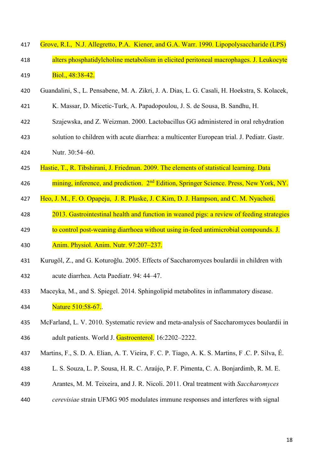- Grove, R.I., N.J. Allegretto, P.A. Kiener, and G.A. Warr. 1990. Lipopolysaccharide (LPS)
- alters phosphatidylcholine metabolism in elicited peritoneal macrophages. J. Leukocyte **Biol., 48:38-42.**
- Guandalini, S., L. Pensabene, M. A. Zikri, J. A. Dias, L. G. Casali, H. Hoekstra, S. Kolacek,
- K. Massar, D. Micetic-Turk, A. Papadopoulou, J. S. de Sousa, B. Sandhu, H.
- Szajewska, and Z. Weizman. 2000. Lactobacillus GG administered in oral rehydration
- solution to children with acute diarrhea: a multicenter European trial. J. Pediatr. Gastr. Nutr. 30:54–60.
- 425 Hastie, T., R. Tibshirani, J. Friedman. 2009. The elements of statistical learning. Data
- 426 mining, inference, and prediction.  $2<sup>nd</sup>$  Edition, Springer Science. Press, New York, NY.
- 427 Heo, J. M., F. O. Opapeju, J. R. Pluske, J. C.Kim, D. J. Hampson, and C. M. Nyachoti.
- 2013. Gastrointestinal health and function in weaned pigs: a review of feeding strategies
- to control post-weaning diarrhoea without using in-feed antimicrobial compounds. J.
- Anim. Physiol. Anim. Nutr. 97:207–237.
- Kurugöl, Z., and G. Koturoğlu. 2005. Effects of Saccharomyces boulardii in children with
- acute diarrhea. Acta Paediatr. 94: 44–47.
- Maceyka, M., and S. Spiegel. 2014. Sphingolipid metabolites in inflammatory disease.
- **Nature 510:58-67.**
- McFarland, L. V. 2010. Systematic review and meta-analysis of Saccharomyces boulardii in 436 adult patients. World J. Gastroenterol. 16:2202–2222.
- Martins, F., S. D. A. Elian, A. T. Vieira, F. C. P. Tiago, A. K. S. Martins, F .C. P. Silva, É.
- L. S. Souza, L. P. Sousa, H. R. C. Araújo, P. F. Pimenta, C. A. Bonjardimb, R. M. E.
- 439 Arantes, M. M. Teixeira, and J. R. Nicoli. 2011. Oral treatment with Saccharomyces
- cerevisiae strain UFMG 905 modulates immune responses and interferes with signal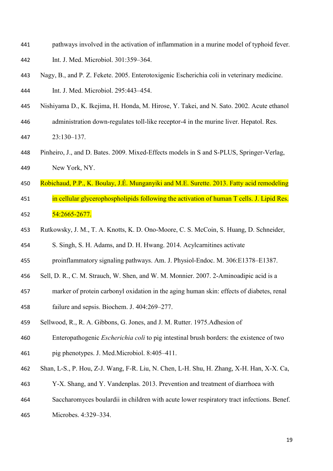- pathways involved in the activation of inflammation in a murine model of typhoid fever.
- Int. J. Med. Microbiol. 301:359–364.
- Nagy, B., and P. Z. Fekete. 2005. Enterotoxigenic Escherichia coli in veterinary medicine. Int. J. Med. Microbiol. 295:443–454.
- Nishiyama D., K. Ikejima, H. Honda, M. Hirose, Y. Takei, and N. Sato. 2002. Acute ethanol
- administration down-regulates toll-like receptor-4 in the murine liver. Hepatol. Res.

23:130–137.

- Pinheiro, J., and D. Bates. 2009. Mixed-Effects models in S and S-PLUS, Springer-Verlag,
- New York, NY.
- Robichaud, P.P., K. Boulay, J.É. Munganyiki and M.E. Surette. 2013. Fatty acid remodeling
- **in cellular glycerophospholipids following the activation of human T cells. J. Lipid Res.** 452 54:2665-2677.
- Rutkowsky, J. M., T. A. Knotts, K. D. Ono-Moore, C. S. McCoin, S. Huang, D. Schneider,

S. Singh, S. H. Adams, and D. H. Hwang. 2014. Acylcarnitines activate

- proinflammatory signaling pathways. Am. J. Physiol-Endoc. M. 306:E1378–E1387.
- Sell, D. R., C. M. Strauch, W. Shen, and W. M. Monnier. 2007. 2-Aminoadipic acid is a
- marker of protein carbonyl oxidation in the aging human skin: effects of diabetes, renal failure and sepsis. Biochem. J. 404:269–277.
- Sellwood, R., R. A. Gibbons, G. Jones, and J. M. Rutter. 1975.Adhesion of
- Enteropathogenic Escherichia coli to pig intestinal brush borders: the existence of two
- pig phenotypes. J. Med.Microbiol. 8:405–411.
- Shan, L-S., P. Hou, Z-J. Wang, F-R. Liu, N. Chen, L-H. Shu, H. Zhang, X-H. Han, X-X. Ca,
- Y-X. Shang, and Y. Vandenplas. 2013. Prevention and treatment of diarrhoea with
- Saccharomyces boulardii in children with acute lower respiratory tract infections. Benef.
- Microbes. 4:329–334.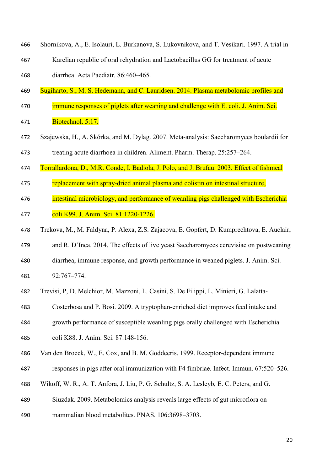- Shornikova, A., E. Isolauri, L. Burkanova, S. Lukovnikova, and T. Vesikari. 1997. A trial in
- Karelian republic of oral rehydration and Lactobacillus GG for treatment of acute
- diarrhea. Acta Paediatr. 86:460–465.
- Sugiharto, S., M. S. Hedemann, and C. Lauridsen. 2014. Plasma metabolomic profiles and
- 470 immune responses of piglets after weaning and challenge with E. coli. J. Anim. Sci.
- Biotechnol. 5:17.
- Szajewska, H., A. Skórka, and M. Dylag. 2007. Meta-analysis: Saccharomyces boulardii for treating acute diarrhoea in children. Aliment. Pharm. Therap. 25:257–264.
- Torrallardona, D., M.R. Conde, I. Badiola, J. Polo, and J. Brufau. 2003. Effect of fishmeal
- replacement with spray-dried animal plasma and colistin on intestinal structure,
- intestinal microbiology, and performance of weanling pigs challenged with Escherichia
- coli K99. J. Anim. Sci. 81:1220-1226.
- Trckova, M., M. Faldyna, P. Alexa, Z.S. Zajacova, E. Gopfert, D. Kumprechtova, E. Auclair,
- and R. D'Inca. 2014. The effects of live yeast Saccharomyces cerevisiae on postweaning
- diarrhea, immune response, and growth performance in weaned piglets. J. Anim. Sci.
- 92:767–774.
- Trevisi, P, D. Melchior, M. Mazzoni, L. Casini, S. De Filippi, L. Minieri, G. Lalatta-
- Costerbosa and P. Bosi. 2009. A tryptophan-enriched diet improves feed intake and
- growth performance of susceptible weanling pigs orally challenged with Escherichia
- coli K88. J. Anim. Sci. 87:148-156.
- Van den Broeck, W., E. Cox, and B. M. Goddeeris. 1999. Receptor-dependent immune
- responses in pigs after oral immunization with F4 fimbriae. Infect. Immun. 67:520–526.
- Wikoff, W. R., A. T. Anfora, J. Liu, P. G. Schultz, S. A. Lesleyb, E. C. Peters, and G.
- Siuzdak. 2009. Metabolomics analysis reveals large effects of gut microflora on
- mammalian blood metabolites. PNAS. 106:3698–3703.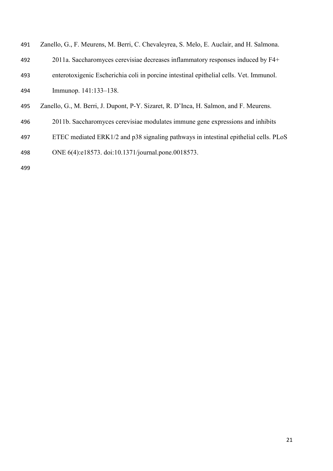| 491 | Zanello, G., F. Meurens, M. Berri, C. Chevaleyrea, S. Melo, E. Auclair, and H. Salmona. |
|-----|-----------------------------------------------------------------------------------------|
| 492 | 2011a. Saccharomyces cerevisiae decreases inflammatory responses induced by F4+         |
| 493 | enterotoxigenic Escherichia coli in porcine intestinal epithelial cells. Vet. Immunol.  |
| 494 | Immunop. 141:133–138.                                                                   |
| 495 | Zanello, G., M. Berri, J. Dupont, P-Y. Sizaret, R. D'Inca, H. Salmon, and F. Meurens.   |
| 496 | 2011b. Saccharomyces cerevisiae modulates immune gene expressions and inhibits          |
| 497 | ETEC mediated ERK1/2 and p38 signaling pathways in intestinal epithelial cells. PLoS    |
| 498 | ONE 6(4):e18573. doi:10.1371/journal.pone.0018573.                                      |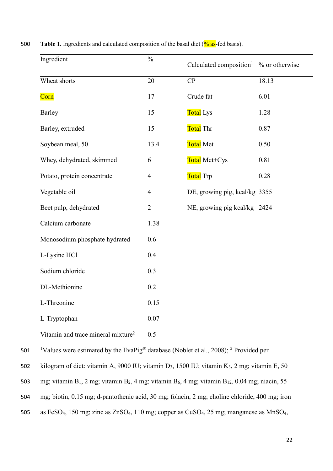| Ingredient                                     | $\frac{0}{0}$  | Calculated composition <sup>1</sup> % or otherwise |       |
|------------------------------------------------|----------------|----------------------------------------------------|-------|
| Wheat shorts                                   | 20             | CP                                                 | 18.13 |
| Corn                                           | 17             | Crude fat                                          | 6.01  |
| Barley                                         | 15             | Total Lys                                          | 1.28  |
| Barley, extruded                               | 15             | Total Thr                                          | 0.87  |
| Soybean meal, 50                               | 13.4           | Total Met                                          | 0.50  |
| Whey, dehydrated, skimmed                      | 6              | Total Met+Cys                                      | 0.81  |
| Potato, protein concentrate                    | $\overline{4}$ | Total Trp                                          | 0.28  |
| Vegetable oil                                  | $\overline{4}$ | DE, growing pig, kcal/kg 3355                      |       |
| Beet pulp, dehydrated                          | $\overline{2}$ | NE, growing pig kcal/kg 2424                       |       |
| Calcium carbonate                              | 1.38           |                                                    |       |
| Monosodium phosphate hydrated                  | 0.6            |                                                    |       |
| L-Lysine HCl                                   | 0.4            |                                                    |       |
| Sodium chloride                                | 0.3            |                                                    |       |
| DL-Methionine                                  | 0.2            |                                                    |       |
| L-Threonine                                    | 0.15           |                                                    |       |
| L-Tryptophan                                   | 0.07           |                                                    |       |
| Vitamin and trace mineral mixture <sup>2</sup> | 0.5            |                                                    |       |

| 500 |  |  | <b>Table 1.</b> Ingredients and calculated composition of the basal diet ( $\frac{9}{6}$ as-fed basis). |  |  |  |  |  |  |
|-----|--|--|---------------------------------------------------------------------------------------------------------|--|--|--|--|--|--|
|-----|--|--|---------------------------------------------------------------------------------------------------------|--|--|--|--|--|--|

501 Values were estimated by the EvaPig® database (Noblet et al., 2008); <sup>2</sup> Provided per

- 504 mg; biotin, 0.15 mg; d-pantothenic acid, 30 mg; folacin, 2 mg; choline chloride, 400 mg; iron
- 505 as FeSO4, 150 mg; zinc as ZnSO4, 110 mg; copper as CuSO4, 25 mg; manganese as MnSO4,

<sup>502</sup> kilogram of diet: vitamin A, 9000 IU; vitamin D3, 1500 IU; vitamin K3, 2 mg; vitamin E, 50

<sup>503</sup> mg; vitamin  $B_1$ , 2 mg; vitamin  $B_2$ , 4 mg; vitamin  $B_6$ , 4 mg; vitamin  $B_{12}$ , 0.04 mg; niacin, 55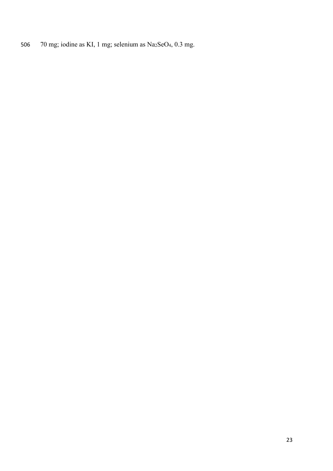70 mg; iodine as KI, 1 mg; selenium as Na2SeO4, 0.3 mg.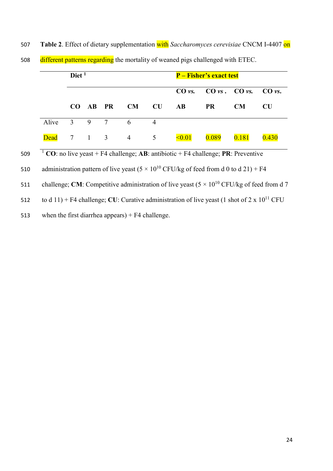|       | $\text{Diet}$ <sup>1</sup> |  |                    |                | <b>P</b> – Fisher's exact test |             |                                                            |       |                 |
|-------|----------------------------|--|--------------------|----------------|--------------------------------|-------------|------------------------------------------------------------|-------|-----------------|
|       |                            |  |                    |                |                                |             | $CO \text{ vs.} \quad CO \text{ vs.} \quad CO \text{ vs.}$ |       | $CO$ <i>vs.</i> |
|       |                            |  |                    | CO AB PR CM CU |                                | AB          | <b>PR</b>                                                  | CM    | <b>CU</b>       |
| Alive |                            |  | $3 \t 9 \t 7 \t 6$ |                | 4                              |             |                                                            |       |                 |
| Dead  |                            |  | 7 1 3              | $\overline{4}$ | 5 <sup>5</sup>                 | $\leq 0.01$ | 0.089                                                      | 0.181 | 0.430           |

507 Table 2. Effect of dietary supplementation with Saccharomyces cerevisiae CNCM I-4407 on

| 508 |  |  | different patterns regarding the mortality of weaned pigs challenged with ETEC. |
|-----|--|--|---------------------------------------------------------------------------------|
|-----|--|--|---------------------------------------------------------------------------------|

509  $\overline{^1 \text{CO}}$ : no live yeast + F4 challenge; **AB**: antibiotic + F4 challenge; **PR**: Preventive

510 administration pattern of live yeast  $(5 \times 10^{10} \text{ CFU/kg of feed from d 0 to d 21}) + F4$ 

511 challenge; CM: Competitive administration of live yeast  $(5 \times 10^{10} CFU/kg$  of feed from d 7

to d 11) + F4 challenge; CU: Curative administration of live yeast (1 shot of 2 x  $10^{11}$  CFU

513 when the first diarrhea appears) + F4 challenge.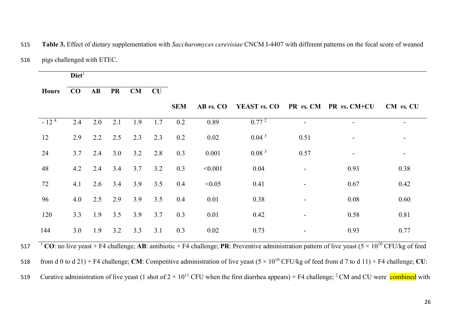515 Table 3. Effect of dietary supplementation with Saccharomyces cerevisiae CNCM I-4407 with different patterns on the fecal score of weaned

516 pigs challenged with ETEC.

|              | $\mathbf{Diet}^1$ |                        |           |     |     |            |                   |                       |                          |                          |                          |  |
|--------------|-------------------|------------------------|-----------|-----|-----|------------|-------------------|-----------------------|--------------------------|--------------------------|--------------------------|--|
| <b>Hours</b> | CO                | $\mathbf{A}\mathbf{B}$ | <b>PR</b> | CM  | CU  |            |                   |                       |                          |                          |                          |  |
|              |                   |                        |           |     |     | <b>SEM</b> | $AB \, vs. \, CO$ | YEAST vs. CO          |                          | PR vs. CM PR vs. CM+CU   | $CM$ vs. $CU$            |  |
| $-124$       | 2.4               | 2.0                    | 2.1       | 1.9 | 1.7 | 0.2        | 0.89              | $0.77^{\overline{2}}$ |                          |                          |                          |  |
| 12           | 2.9               | 2.2                    | 2.5       | 2.3 | 2.3 | 0.2        | 0.02              | 0.04 <sup>3</sup>     | 0.51                     |                          |                          |  |
| 24           | 3.7               | 2.4                    | 3.0       | 3.2 | 2.8 | 0.3        | 0.001             | 0.08 <sup>3</sup>     | 0.57                     | $\overline{\phantom{a}}$ | $\overline{\phantom{a}}$ |  |
| 48           | 4.2               | 2.4                    | 3.4       | 3.7 | 3.2 | 0.3        | < 0.001           | 0.04                  | $\blacksquare$           | 0.93                     | 0.38                     |  |
| 72           | 4.1               | 2.6                    | 3.4       | 3.9 | 3.5 | 0.4        | < 0.05            | 0.41                  | ۰.                       | 0.67                     | 0.42                     |  |
| 96           | 4.0               | 2.5                    | 2.9       | 3.9 | 3.5 | 0.4        | 0.01              | 0.38                  | $\overline{\phantom{a}}$ | 0.08                     | 0.60                     |  |
| 120          | 3.3               | 1.9                    | 3.5       | 3.9 | 3.7 | 0.3        | 0.01              | 0.42                  | $\blacksquare$           | 0.58                     | 0.81                     |  |
| 144          | 3.0               | 1.9                    | 3.2       | 3.3 | 3.1 | 0.3        | 0.02              | 0.73                  |                          | 0.93                     | 0.77                     |  |
|              |                   |                        |           |     |     |            |                   |                       |                          |                          |                          |  |

517 **CO**: no live yeast + F4 challenge; **AB**: antibiotic + F4 challenge; **PR**: Preventive administration pattern of live yeast ( $5 \times 10^{10}$  CFU/kg of feed

518 from d 0 to d 21) + F4 challenge; CM: Competitive administration of live yeast  $(5 \times 10^{10} CFU/kg$  of feed from d 7 to d 11) + F4 challenge; CU: 519 Curative administration of live yeast (1 shot of  $2 \times 10^{11}$  CFU when the first diarrhea appears) + F4 challenge; <sup>2</sup> CM and CU were combined with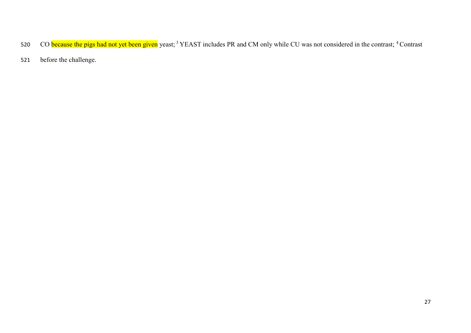- 520 CO because the pigs had not yet been given yeast;<sup>3</sup> YEAST includes PR and CM only while CU was not considered in the contrast; <sup>4</sup> Contrast
- before the challenge.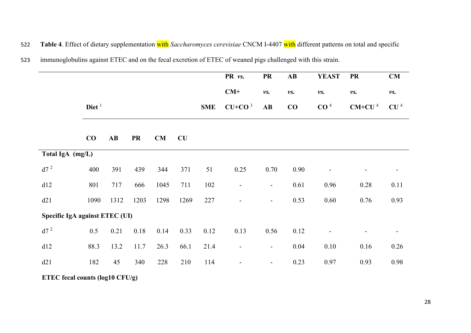522 Table 4. Effect of dietary supplementation with Saccharomyces cerevisiae CNCM I-4407 with different patterns on total and specific

|                  |                                |                        |           |      |      |            | PR vs.                   | <b>PR</b>                | $\mathbf{A}\mathbf{B}$ | <b>YEAST</b>             | <b>PR</b>                | CM              |
|------------------|--------------------------------|------------------------|-----------|------|------|------------|--------------------------|--------------------------|------------------------|--------------------------|--------------------------|-----------------|
|                  |                                |                        |           |      |      |            | $CM+$                    | vs.                      | vs.                    | vs.                      | vs.                      | vs.             |
|                  | $\mathbf{Diet}^1$              |                        |           |      |      | <b>SME</b> | $CU+CO3$                 | $\mathbf{A}\mathbf{B}$   | CO                     | CO <sup>4</sup>          | $CM+CU4$                 | CU <sup>4</sup> |
|                  | CO                             | $\mathbf{A}\mathbf{B}$ | <b>PR</b> | CM   | CU   |            |                          |                          |                        |                          |                          |                 |
| Total IgA (mg/L) |                                |                        |           |      |      |            |                          |                          |                        |                          |                          |                 |
| $d7^2$           | 400                            | 391                    | 439       | 344  | 371  | 51         | 0.25                     | 0.70                     | 0.90                   | $\overline{a}$           | $\overline{\phantom{a}}$ | $\blacksquare$  |
| d12              | 801                            | 717                    | 666       | 1045 | 711  | 102        | $\overline{\phantom{a}}$ | $\blacksquare$           | 0.61                   | 0.96                     | 0.28                     | 0.11            |
| d21              | 1090                           | 1312                   | 1203      | 1298 | 1269 | 227        |                          | $\overline{\phantom{a}}$ | 0.53                   | 0.60                     | 0.76                     | 0.93            |
|                  | Specific IgA against ETEC (UI) |                        |           |      |      |            |                          |                          |                        |                          |                          |                 |
| $d7^2$           | 0.5                            | 0.21                   | 0.18      | 0.14 | 0.33 | 0.12       | 0.13                     | 0.56                     | 0.12                   | $\overline{\phantom{0}}$ |                          |                 |
| d12              | 88.3                           | 13.2                   | 11.7      | 26.3 | 66.1 | 21.4       | $\blacksquare$           | $\blacksquare$           | 0.04                   | 0.10                     | 0.16                     | 0.26            |
| d21              | 182                            | 45                     | 340       | 228  | 210  | 114        | $\overline{\phantom{a}}$ | $\sim$                   | 0.23                   | 0.97                     | 0.93                     | 0.98            |
|                  |                                |                        |           |      |      |            |                          |                          |                        |                          |                          |                 |

|  |  |  | 523 immunoglobulins against ETEC and on the fecal excretion of ETEC of weaned pigs challenged with this strain. |
|--|--|--|-----------------------------------------------------------------------------------------------------------------|
|--|--|--|-----------------------------------------------------------------------------------------------------------------|

ETEC fecal counts (log10 CFU/g)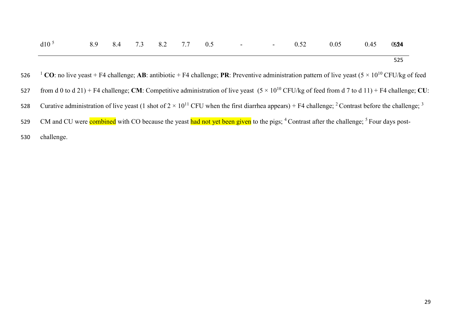| d10 <sup>5</sup> | 8.9 | 8.4 | 7.3 | 8.2 | 7.7 | 0.5 | and the state of the state of the | 0.52 | 0.05 | 0.45 | 0524 |
|------------------|-----|-----|-----|-----|-----|-----|-----------------------------------|------|------|------|------|
|                  |     |     |     |     |     |     |                                   |      |      |      | 525  |

526  $^{1}$  CO: no live yeast + F4 challenge; AB: antibiotic + F4 challenge; PR: Preventive administration pattern of live yeast (5 × 10<sup>10</sup> CFU/kg of feed

527 from d 0 to d 21) + F4 challenge; CM: Competitive administration of live yeast  $(5 \times 10^{10} CFU/kg$  of feed from d 7 to d 11) + F4 challenge; CU:

528 Curative administration of live yeast (1 shot of  $2 \times 10^{11}$  CFU when the first diarrhea appears) + F4 challenge; <sup>2</sup> Contrast before the challenge; <sup>3</sup>

529 CM and CU were combined with CO because the yeast had not yet been given to the pigs; <sup>4</sup> Contrast after the challenge; <sup>5</sup> Four days post-

530 challenge.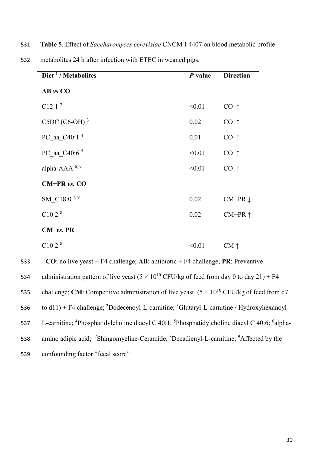531 Table 5. Effect of Saccharomyces cerevisiae CNCM I-4407 on blood metabolic profile

| Diet <sup><math>1</math></sup> / Metabolites | P-value | <b>Direction</b>   |
|----------------------------------------------|---------|--------------------|
| AB vs CO                                     |         |                    |
| $C12:1^2$                                    | < 0.01  | $CO \uparrow$      |
| C5DC (C6-OH) $^3$                            | 0.02    | $CO \uparrow$      |
| PC_aa_C40:1 $4$                              | 0.01    | $CO \uparrow$      |
| PC_aa_C40:6 $5$                              | < 0.01  | $CO \uparrow$      |
| alpha-AAA <sup>6,9</sup>                     | < 0.01  | $CO \uparrow$      |
| $CM+PR$ vs. $CO$                             |         |                    |
| SM_C18:0 <sup>7,9</sup>                      | 0.02    | CM+PR $\downarrow$ |
| C10:2 <sup>8</sup>                           | 0.02    | CM+PR $\uparrow$   |
| CM vs. PR                                    |         |                    |
| C10:2 <sup>8</sup>                           | < 0.01  | $CM \uparrow$      |
|                                              |         |                    |

532 metabolites 24 h after infection with ETEC in weaned pigs.

533  $\overline{C}$  CO: no live yeast + F4 challenge; AB: antibiotic + F4 challenge; PR: Preventive 534 administration pattern of live yeast  $(5 \times 10^{10} \text{ CFU/kg}$  of feed from day 0 to day 21) + F4 535 challenge; CM: Competitive administration of live yeast  $(5 \times 10^{10} \text{ CFU/kg of feed from d7})$ 536 to d11) + F4 challenge; <sup>2</sup>Dodecenoyl-L-carnitine; <sup>3</sup>Glutaryl-L-carnitine / Hydroxyhexanoyl-537 L-carnitine; <sup>4</sup>Phosphatidylcholine diacyl C 40:1; <sup>5</sup>Phosphatidylcholine diacyl C 40:6; <sup>6</sup> alpha-538 amino adipic acid; <sup>7</sup>Shingomyeline-Ceramide; <sup>8</sup>Decadienyl-L-carnitine; <sup>9</sup>Affected by the 539 confounding factor "fecal score"